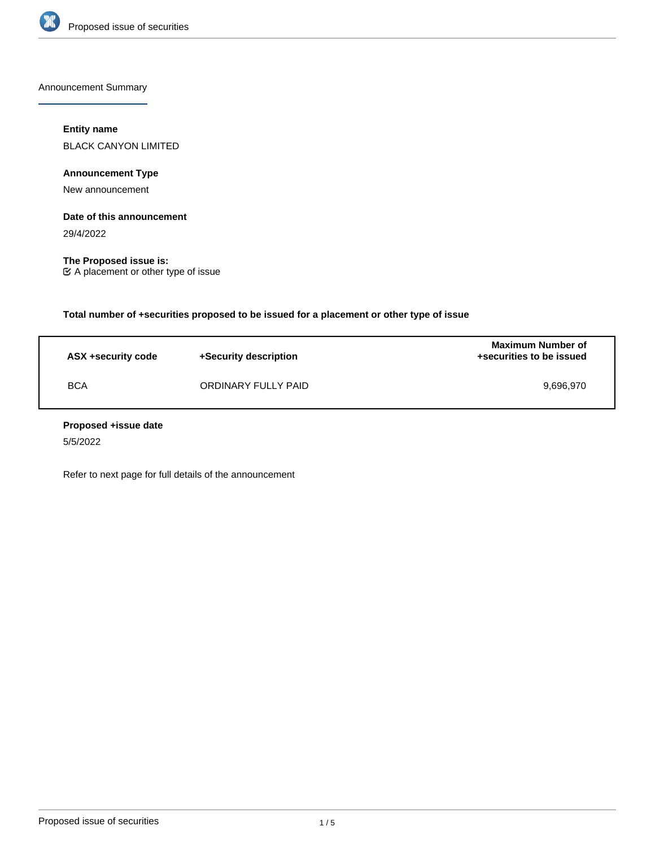

Announcement Summary

# **Entity name**

BLACK CANYON LIMITED

**Announcement Type**

New announcement

# **Date of this announcement**

29/4/2022

**The Proposed issue is:** A placement or other type of issue

**Total number of +securities proposed to be issued for a placement or other type of issue**

| ASX +security code | +Security description | <b>Maximum Number of</b><br>+securities to be issued |
|--------------------|-----------------------|------------------------------------------------------|
| <b>BCA</b>         | ORDINARY FULLY PAID   | 9.696.970                                            |

# **Proposed +issue date**

5/5/2022

Refer to next page for full details of the announcement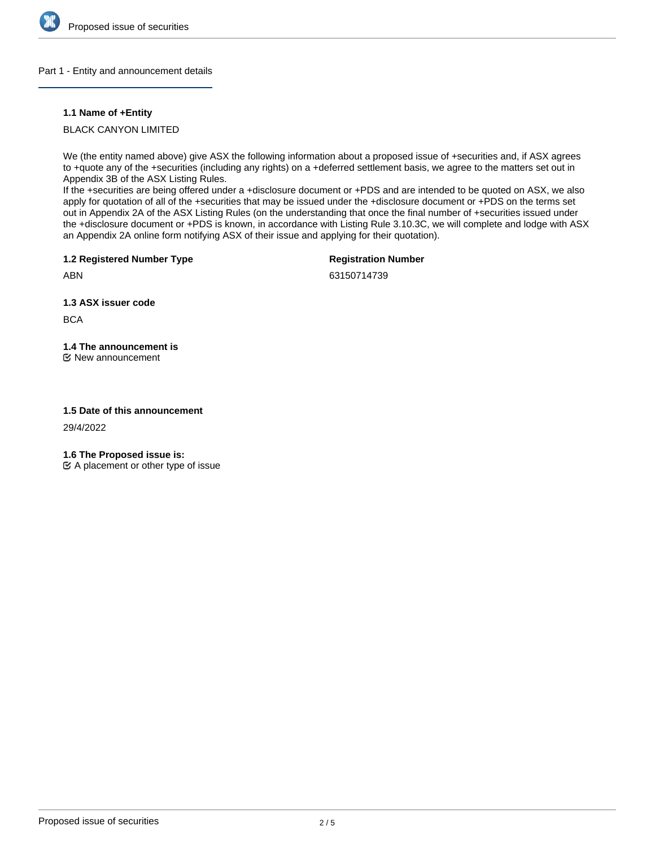

# Part 1 - Entity and announcement details

# **1.1 Name of +Entity**

BLACK CANYON LIMITED

We (the entity named above) give ASX the following information about a proposed issue of +securities and, if ASX agrees to +quote any of the +securities (including any rights) on a +deferred settlement basis, we agree to the matters set out in Appendix 3B of the ASX Listing Rules.

If the +securities are being offered under a +disclosure document or +PDS and are intended to be quoted on ASX, we also apply for quotation of all of the +securities that may be issued under the +disclosure document or +PDS on the terms set out in Appendix 2A of the ASX Listing Rules (on the understanding that once the final number of +securities issued under the +disclosure document or +PDS is known, in accordance with Listing Rule 3.10.3C, we will complete and lodge with ASX an Appendix 2A online form notifying ASX of their issue and applying for their quotation).

**1.2 Registered Number Type**

**Registration Number**

ABN

63150714739

**1.3 ASX issuer code**

**BCA** 

**1.4 The announcement is**

New announcement

# **1.5 Date of this announcement**

29/4/2022

**1.6 The Proposed issue is:**

 $\mathfrak{C}$  A placement or other type of issue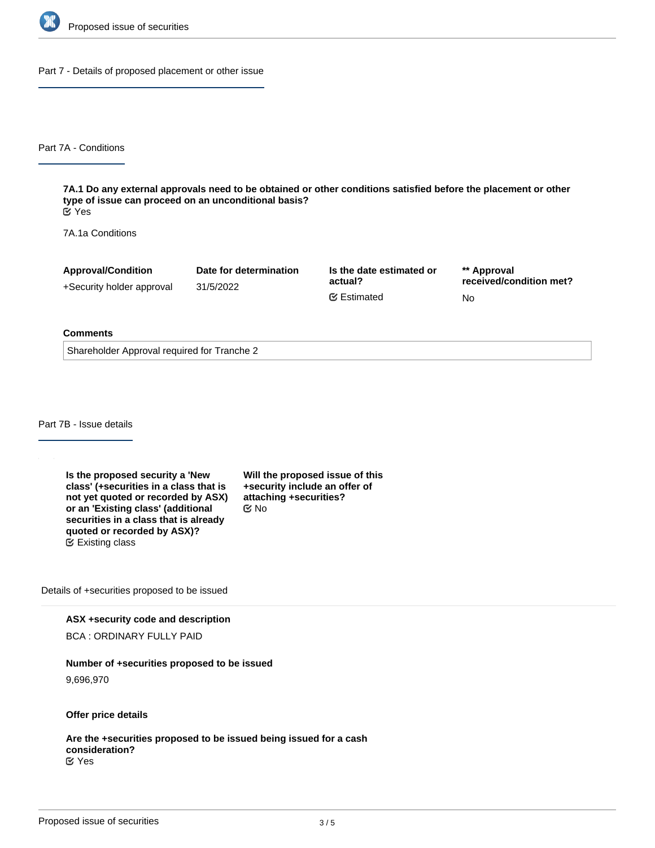

Part 7 - Details of proposed placement or other issue

Part 7A - Conditions

**7A.1 Do any external approvals need to be obtained or other conditions satisfied before the placement or other type of issue can proceed on an unconditional basis?** Yes

7A.1a Conditions

| <b>Approval/Condition</b> | Date for determination | Is the date estimated or | ** Approval<br>received/condition met? |
|---------------------------|------------------------|--------------------------|----------------------------------------|
| +Security holder approval | 31/5/2022              | actual?                  |                                        |
|                           |                        | <b></b> Estimated        | No                                     |

### **Comments**

Shareholder Approval required for Tranche 2

Part 7B - Issue details

**Is the proposed security a 'New class' (+securities in a class that is not yet quoted or recorded by ASX) or an 'Existing class' (additional securities in a class that is already quoted or recorded by ASX)?** Existing class

**Will the proposed issue of this +security include an offer of attaching +securities?** No

Details of +securities proposed to be issued

**ASX +security code and description**

BCA : ORDINARY FULLY PAID

**Number of +securities proposed to be issued**

9,696,970

**Offer price details**

**Are the +securities proposed to be issued being issued for a cash consideration?** Yes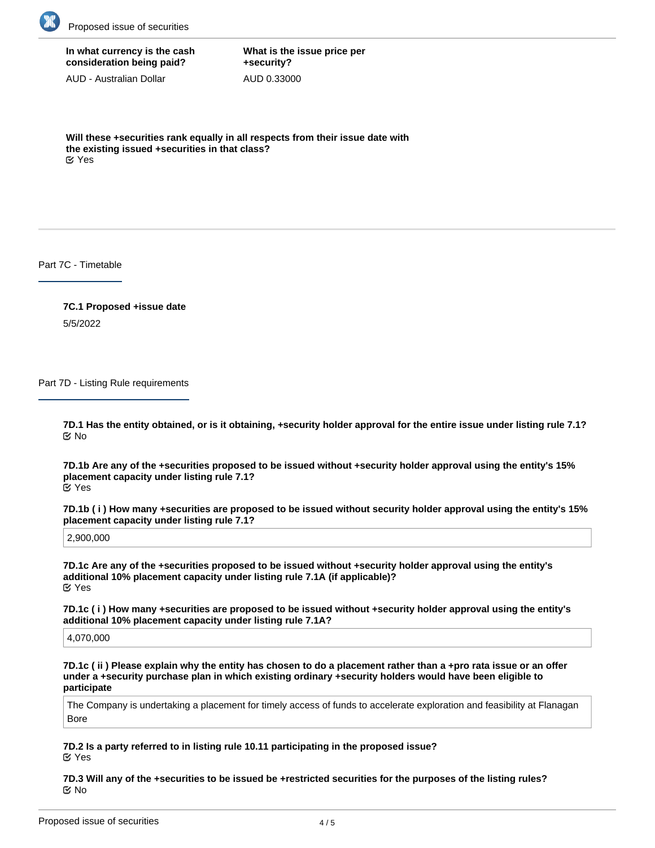

# **In what currency is the cash consideration being paid?**

AUD - Australian Dollar

**What is the issue price per +security?** AUD 0.33000

**Will these +securities rank equally in all respects from their issue date with the existing issued +securities in that class?** Yes

Part 7C - Timetable

**7C.1 Proposed +issue date** 5/5/2022

Part 7D - Listing Rule requirements

**7D.1 Has the entity obtained, or is it obtaining, +security holder approval for the entire issue under listing rule 7.1?** No

**7D.1b Are any of the +securities proposed to be issued without +security holder approval using the entity's 15% placement capacity under listing rule 7.1?** Yes

**7D.1b ( i ) How many +securities are proposed to be issued without security holder approval using the entity's 15% placement capacity under listing rule 7.1?**

2,900,000

**7D.1c Are any of the +securities proposed to be issued without +security holder approval using the entity's additional 10% placement capacity under listing rule 7.1A (if applicable)?** Yes

**7D.1c ( i ) How many +securities are proposed to be issued without +security holder approval using the entity's additional 10% placement capacity under listing rule 7.1A?**

4,070,000

**7D.1c ( ii ) Please explain why the entity has chosen to do a placement rather than a +pro rata issue or an offer under a +security purchase plan in which existing ordinary +security holders would have been eligible to participate**

The Company is undertaking a placement for timely access of funds to accelerate exploration and feasibility at Flanagan Bore

**7D.2 Is a party referred to in listing rule 10.11 participating in the proposed issue?** Yes

**7D.3 Will any of the +securities to be issued be +restricted securities for the purposes of the listing rules?** No